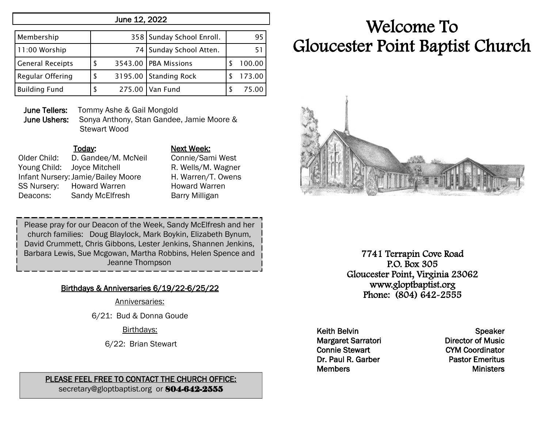#### June 12, 2022

| Membership              |     | 358 Sunday School Enroll. | 95     |
|-------------------------|-----|---------------------------|--------|
| 11:00 Worship           |     | 74 Sunday School Atten.   | 51     |
| <b>General Receipts</b> | -\$ | 3543.00 PBA Missions      | 100.00 |
| Regular Offering        | -S  | 3195.00 Standing Rock     | 173.00 |
| <b>Building Fund</b>    |     | 275.00   Van Fund         | 75.00  |

June Tellers: Tommy Ashe & Gail Mongold

June Ushers: Sonya Anthony, Stan Gandee, Jamie Moore & Stewart Wood

## Today: Next Week:

Older Child: D. Gandee/M. McNeil Connie/Sami West Young Child: Joyce Mitchell R. Wells/M. Wagner Infant Nursery: Jamie/Bailey Moore H. Warren/T. Owens SS Nursery: Howard Warren Howard Warren Deacons: Sandy McElfresh Barry Milligan

Please pray for our Deacon of the Week, Sandy McElfresh and her church families: Doug Blaylock, Mark Boykin, Elizabeth Bynum, David Crummett, Chris Gibbons, Lester Jenkins, Shannen Jenkins, Barbara Lewis, Sue Mcgowan, Martha Robbins, Helen Spence and Jeanne Thompson

## Birthdays & Anniversaries 6/19/22-6/25/22

Anniversaries:

6/21: Bud & Donna Goude Ì

Birthdays:

6/22: Brian Stewart

## PLEASE FEEL FREE TO CONTACT THE CHURCH OFFICE:

secretary@gloptbaptist.org or 804-642-2555

# Welcome To Gloucester Point Baptist Church



7741 Terrapin Cove Road P.O. Box 305 Gloucester Point, Virginia 23062 www.gloptbaptist.org Phone: (804) 642-2555

Keith Belvin Margaret Sarratori Connie Stewart Dr. Paul R. Garber **Members** 

Speaker Director of Music CYM Coordinator Pastor Emeritus **Ministers**